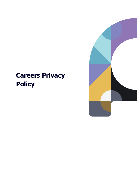## **Careers Privacy Policy**

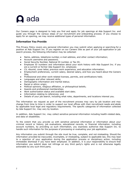# **O** ada



Our Careers page is designed to help you find and apply for job openings at Ada Support Inc. and guide you through the various steps of our recruitment and onboarding process. If you choose to apply for an opening, we may receive additional types of personal information.

### **Information You Provide**

This Privacy Policy covers any personal information you may submit when applying or searching for a position at Ada Support Inc. If you register on our Careers Site as part of your job application or job search process, the following information may be collected:

- Name, address, telephone number, e-mail address, and other contact information;
- Account username and password;
- Social Security Number, National ID number, or Tax ID;
- Employee ID numbers and information about your work history with Ada Support Inc. if you are a current or former Ada Support Inc. employee;
- CV, résumé, cover letter, previous work experience, and education information;
- Employment preferences, current salary, desired salary, and how you heard about the Careers Site;
- Professional and other work-related licenses, permits, and certifications held;
- Languages and other relevant skills;
- Demographic information and marital status;
- Racial or ethnic origin;
- Political opinions, religious affiliation, or philosophical beliefs;
- Awards and professional memberships;
- Work authorization status and available start date;
- Information relating to references; and
- Details of your job search, including what roles, departments, and locations interest you.

The information we request as part of the recruitment process may vary by job location and may change from time to time in order to support our local offices with their recruitment needs and abide by applicable local legal and regulatory requirements. The specific categories of information collected by Ada Support Inc. may vary by location.

In addition, Ada Support Inc. may collect sensitive personal information including health-related data, and data on disabilities.

To the extent that you provide us with sensitive personal information or information about your criminal record or history, job evaluations, educational records, or financial information, including account numbers, by providing us such information, you expressly authorize Ada Support Inc. to handle such information for the purposes of processing or evaluating your job application.

Any information you submit through the site must be true, complete, and not misleading. Should the information provided be inaccurate, incomplete, or misleading, subject to applicable law, this may lead to a rejection of your application during the application process or disciplinary action, including immediate dismissal if you have been employed. In addition, it is your responsibility to ensure that information you submit does not infringe on any third party's rights and is not otherwise legally actionable by any such third party.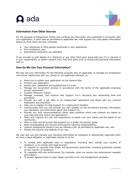# $\Omega$  ada



### **Information from Other Sources**

For the purpose of background checks and verifying the information you submitted in connection with your application, in each case as permitted by applicable law, Ada Support Inc. may obtain information about you from other sources, including:

- Your references or third parties mentioned in your application;
- Prior employers; and
- Educational institutions you attended.

If you provide us with details of a reference or any other third party along with your CV or résumé, it is your responsibility to obtain consent from that third party prior to sharing this personal information with us.

### **How Do We Use Your Personal Information?**

We may use your information for the following purposes and, as applicable, to manage our prospective contractual relationship with you, based on our legitimate interests, to:

- Allow you to submit your application on the Careers Site;
- Process your application;
- Assess your capabilities and qualifications for a job;
- Manage the recruitment process in accordance with the terms of the applicable employee privacy agreement;
- Conduct reference checks;
- Manage, evaluate, and improve Ada Support Inc.'s recruiting and onboarding tools and processes;
- Provide you with a job offer or an employment agreement and assist with any contract finalization and execution;
- Help you to register for Ada Support Inc. employment benefits;
- Communicate with you and provide you with updates on the recruitment process, information you requested, and information about Ada Support Inc.;
- Provide you with recommendations about open positions which may interest you based on your past searches and/or job applications;
- Tailor and improve our site and experiences to better suit your needs and the needs of our community;
- Help us meet and document Ada Support Inc.'s global recruitment goals;
- Meet recordkeeping and internal and external reporting responsibilities;
- Conduct background checks if you are offered a job, as permitted by applicable law; and
- Protect the security and stability of our site.

We may also use and disclose your personal information as necessary or appropriate, especially when we have a legal obligation or legitimate interest to do so:

- To comply with applicable laws or regulations, including laws outside your country of residence, or to comply with legal process;
- To respond to requests from public and government authorities, including authorities outside of your country of residence;
- To cooperate with law enforcement (for example, when we receive law enforcement requests and orders);
- To protect against fraud or other illegal activities or for risk management purposes;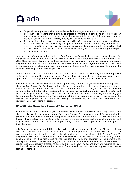# **O** ada



- To permit us to pursue available remedies or limit damages that we may sustain;
- For other legal reasons (for example, to enforce our terms and conditions and to protect our rights, privacy, safety, or property, and/or that of our affiliates or subsidiaries, you or others, including but not limited to, visitors, employees, and contractors); and
- In connection with a sale or business transaction (for example, we may have a legitimate interest in disclosing or transferring your personal information to a third party in the event of any reorganization, merger, sale, joint venture, assignment, transfer, or other disposition of all or any portion of our business, assets, or stock (including in connection with any bankruptcy or similar proceedings).

Your personal information will be added to Ada Support Inc.'s candidate database and will be used for the purposes of considering whether your profile is suitable for other job vacancies at Ada Support Inc. other than the one(s) for which you have applied. If we make you an offer, your personal information may be incorporated into our human resources system and used to manage the new-hire process, and if you become an employee, any such information may become part of your employee file and may be used for other employment-related purposes.

The provision of personal information on the Careers Site is voluntary. However, if you do not provide sufficient information, this may result in Ada Support Inc. being unable to consider your employment application or, if employment is offered, your subsequent promotion, transfer, or relocation.

Additionally, if you are an employee of Ada Support Inc., we may use your information as required to abide by Ada Support Inc.'s internal policies, including but not limited to our employment and human resources policies. Information received from Ada Support Inc. employees on our site may be supplemented with information received offline, such as your contact information; your birthdate; and details about your employment, such as what team you work on, where you work, and how long you have worked for Ada Support Inc. The sharing of offline information is governed by the terms of the relevant employment policies, employee privacy policies/notices, and local laws and regulatory requirements of your job's jurisdiction.

### **Who Will We Share Your Personal Information With?**

In order for us to assist you with your job search needs and the recruitment and hiring process and also to assist us with managing our workforce, Ada Support Inc. may share your information with the group of affiliated Ada Support Inc. companies. Your personal information will be reviewed by Ada Support Inc. employees or agents who have a business need to access such personal information and may include recruiters, human resources personnel, technical services personnel, and managers or their designees.

Ada Support Inc. contracts with third-party service providers to manage the Careers Site and assist us with our business needs. Ada Support Inc. may share personal information with these service providers to the extent needed to deliver the site and services as described in this Privacy Policy. We may share personal information about you with selected service providers or consultants acting on our behalf, such as third parties assisting Ada Support Inc. with the operation of the Careers Site. Third-party service providers receiving personal information are expected to apply the same level of privacy and data security protections described in this Privacy Policy, and they are required to keep confidential the personal information received from us and not use it for any purpose other than as originally intended.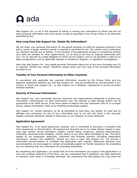**O** ada



Ada Support Inc. is not in the business of selling or renting your information to others and will not share personal information with third parties except as described in this Privacy Policy or as otherwise permitted by law.

### **How Long Does Ada Support Inc. Retain My Information?**

We will retain your personal information for the period necessary to fulfill the purposes outlined in this policy, unless a longer retention period is required or permitted by law. The criteria used to determine our retention periods are as follows: (i) the duration of the application process or considering whether your skills are suitable for other opportunities; (ii) as long as we have an ongoing relationship with you; (iii) as required by a legal obligation to which we are subject; and (iv) as advisable in light of our legal considerations such as applicable statutes of limitations, litigation, or regulatory investigations.

Note that Ada Support Inc. may delete personal information about you at any time (including your CV or résumé), without any reason. Therefore, please retain your own copy of the personal information provided to us.

#### **Transfer of Your Personal Information to Other Countries**

In accordance with applicable law, personal information covered by this Privacy Policy and any applicant agreement between you and Ada Support Inc. may be transferred to, and processed in any country in which Ada Support Inc., or Ada Support Inc.'s affiliates, subsidiaries or service providers maintain facilities.

#### **Security of Personal Information**

Ada Support Inc. uses reasonable physical, technical, and organizational safeguards to protect your information. Unfortunately, no data transmission over the Internet or data storage system can be guaranteed to be 100% secure. If you have reason to believe that your interaction with us is no longer secure, please immediately notify us by emailing privacy@ada.support.

Ada Support Inc. hereby disclaims, as far as permitted by local laws, any liability for itself and its affiliates and contractors for any of your information sent to our site and which is lost, misused, illegally accessed, disclosed, altered or destroyed, or not integrally or timely delivered.

#### **Application Agreement**

Ada Support Inc. is an equal-opportunity employer and is committed to providing a workplace free from harassment or discrimination. All employment decisions are to be made without regard to race, color, age, gender, sexual orientation, religion, marital status, pregnancy, national origin/ancestry, citizenship, physical/mental disability, military status or any other basis prohibited by law. This policy applies to our employees, applicants, customers and business partners (including independent contractors, vendors and suppliers). Should you have a need, Ada Support Inc. will provide a reasonable accommodation to complete the application upon request. Applicants requiring such accommodation are encouraged to contact privacy@ada.support for further assistance. By proceeding you are indicating that you understand the preceding statements.

By completing your application, you certify that all of the information you supply in this application is a true and complete statement of the facts, and you understand that if employed, any false statement or omission could result in immediate dismissal. You understand that Ada Support Inc. may share the